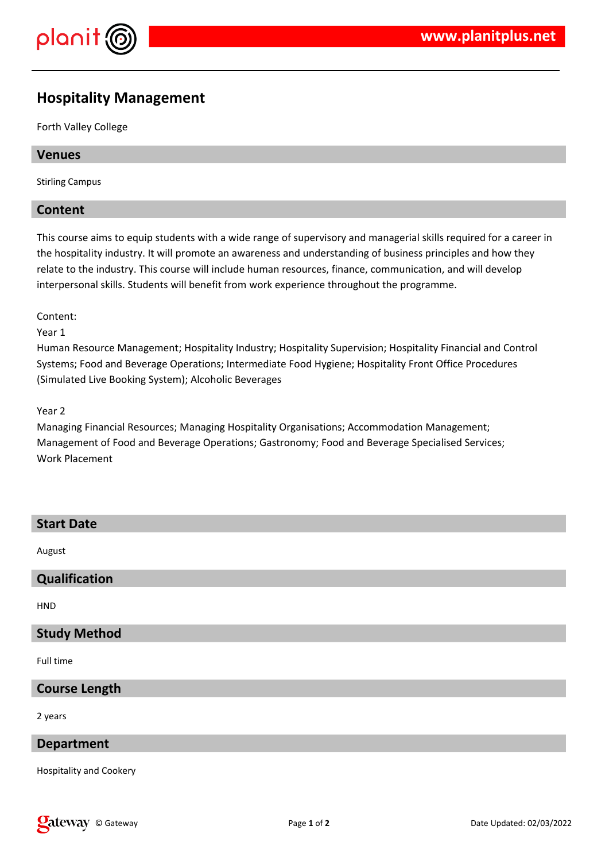

# **Hospitality Management**

Forth Valley College

## **Venues**

Stirling Campus

## **Content**

This course aims to equip students with a wide range of supervisory and managerial skills required for a career in the hospitality industry. It will promote an awareness and understanding of business principles and how they relate to the industry. This course will include human resources, finance, communication, and will develop interpersonal skills. Students will benefit from work experience throughout the programme.

Content:

Year 1

Human Resource Management; Hospitality Industry; Hospitality Supervision; Hospitality Financial and Control Systems; Food and Beverage Operations; Intermediate Food Hygiene; Hospitality Front Office Procedures (Simulated Live Booking System); Alcoholic Beverages

Year 2

Managing Financial Resources; Managing Hospitality Organisations; Accommodation Management; Management of Food and Beverage Operations; Gastronomy; Food and Beverage Specialised Services; Work Placement

| <b>Start Date</b>    |
|----------------------|
| August               |
| Qualification        |
| <b>HND</b>           |
| <b>Study Method</b>  |
| Full time            |
| <b>Course Length</b> |
| 2 years              |
| <b>Department</b>    |

Hospitality and Cookery